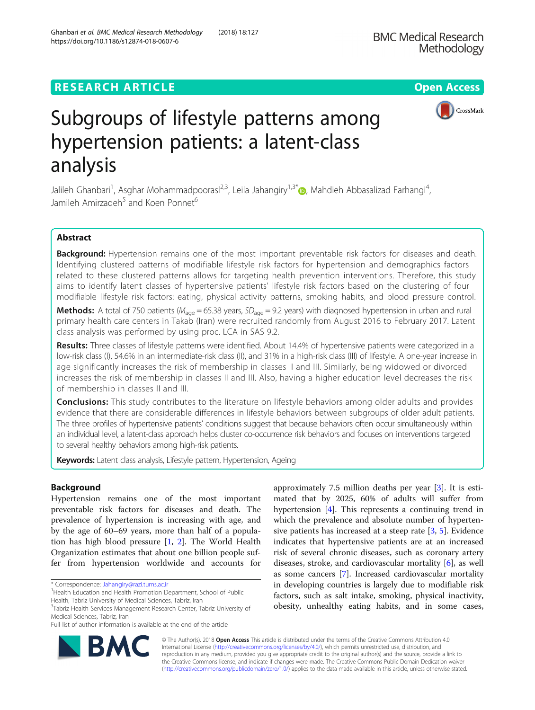## **RESEARCH ARTICLE Example 2014 12:30 The Open Access**

# Subgroups of lifestyle patterns among hypertension patients: a latent-class analysis

Jalileh Ghanbari<sup>1</sup>, Asghar Mohammadpoorasl<sup>2,3</sup>, Leila Jahangiry<sup>1,3[\\*](http://orcid.org/0000-0002-0491-5764)</sup>®, Mahdieh Abbasalizad Farhangi<sup>4</sup> , Jamileh Amirzadeh<sup>5</sup> and Koen Ponnet<sup>6</sup>

## Abstract

Background: Hypertension remains one of the most important preventable risk factors for diseases and death. Identifying clustered patterns of modifiable lifestyle risk factors for hypertension and demographics factors related to these clustered patterns allows for targeting health prevention interventions. Therefore, this study aims to identify latent classes of hypertensive patients' lifestyle risk factors based on the clustering of four modifiable lifestyle risk factors: eating, physical activity patterns, smoking habits, and blood pressure control.

**Methods:** A total of 750 patients ( $M_{\text{age}} = 65.38$  years,  $SD_{\text{age}} = 9.2$  years) with diagnosed hypertension in urban and rural primary health care centers in Takab (Iran) were recruited randomly from August 2016 to February 2017. Latent class analysis was performed by using proc. LCA in SAS 9.2.

Results: Three classes of lifestyle patterns were identified. About 14.4% of hypertensive patients were categorized in a low-risk class (I), 54.6% in an intermediate-risk class (II), and 31% in a high-risk class (III) of lifestyle. A one-year increase in age significantly increases the risk of membership in classes II and III. Similarly, being widowed or divorced increases the risk of membership in classes II and III. Also, having a higher education level decreases the risk of membership in classes II and III.

**Conclusions:** This study contributes to the literature on lifestyle behaviors among older adults and provides evidence that there are considerable differences in lifestyle behaviors between subgroups of older adult patients. The three profiles of hypertensive patients' conditions suggest that because behaviors often occur simultaneously within an individual level, a latent-class approach helps cluster co-occurrence risk behaviors and focuses on interventions targeted to several healthy behaviors among high-risk patients.

Keywords: Latent class analysis, Lifestyle pattern, Hypertension, Ageing

## Background

Hypertension remains one of the most important preventable risk factors for diseases and death. The prevalence of hypertension is increasing with age, and by the age of 60–69 years, more than half of a population has high blood pressure [\[1](#page-6-0), [2](#page-6-0)]. The World Health Organization estimates that about one billion people suffer from hypertension worldwide and accounts for

\* Correspondence: [Jahangiry@razi.tums.ac.ir](mailto:Jahangiry@razi.tums.ac.ir) <sup>1</sup>

<sup>1</sup>Health Education and Health Promotion Department, School of Public

Health, Tabriz University of Medical Sciences, Tabriz, Iran

<sup>3</sup>Tabriz Health Services Management Research Center, Tabriz University of Medical Sciences, Tabriz, Iran

approximately 7.5 million deaths per year [\[3](#page-6-0)]. It is estimated that by 2025, 60% of adults will suffer from hypertension [[4\]](#page-6-0). This represents a continuing trend in which the prevalence and absolute number of hypertensive patients has increased at a steep rate  $[3, 5]$  $[3, 5]$  $[3, 5]$  $[3, 5]$ . Evidence indicates that hypertensive patients are at an increased risk of several chronic diseases, such as coronary artery diseases, stroke, and cardiovascular mortality [\[6](#page-6-0)], as well as some cancers [[7\]](#page-6-0). Increased cardiovascular mortality in developing countries is largely due to modifiable risk factors, such as salt intake, smoking, physical inactivity, obesity, unhealthy eating habits, and in some cases,





Full list of author information is available at the end of the article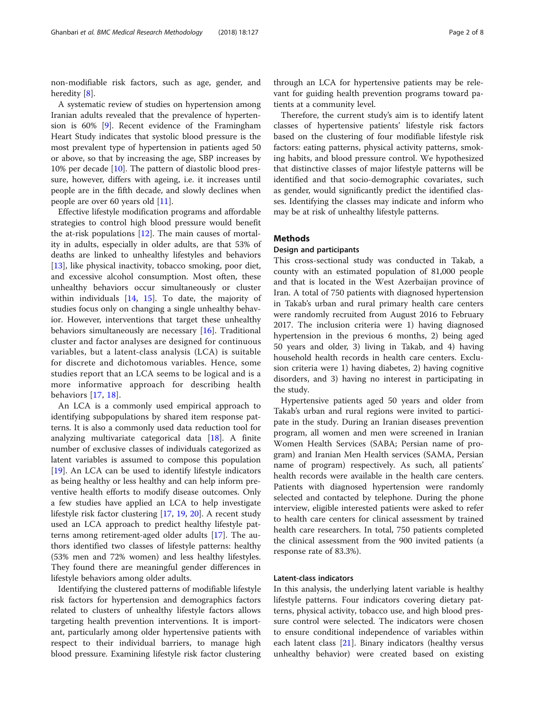non-modifiable risk factors, such as age, gender, and heredity [[8\]](#page-6-0).

A systematic review of studies on hypertension among Iranian adults revealed that the prevalence of hypertension is 60% [\[9](#page-6-0)]. Recent evidence of the Framingham Heart Study indicates that systolic blood pressure is the most prevalent type of hypertension in patients aged 50 or above, so that by increasing the age, SBP increases by 10% per decade [[10](#page-6-0)]. The pattern of diastolic blood pressure, however, differs with ageing, i.e. it increases until people are in the fifth decade, and slowly declines when people are over 60 years old [[11\]](#page-6-0).

Effective lifestyle modification programs and affordable strategies to control high blood pressure would benefit the at-risk populations  $[12]$  $[12]$ . The main causes of mortality in adults, especially in older adults, are that 53% of deaths are linked to unhealthy lifestyles and behaviors [[13\]](#page-6-0), like physical inactivity, tobacco smoking, poor diet, and excessive alcohol consumption. Most often, these unhealthy behaviors occur simultaneously or cluster within individuals [[14,](#page-6-0) [15\]](#page-6-0). To date, the majority of studies focus only on changing a single unhealthy behavior. However, interventions that target these unhealthy behaviors simultaneously are necessary [[16\]](#page-6-0). Traditional cluster and factor analyses are designed for continuous variables, but a latent-class analysis (LCA) is suitable for discrete and dichotomous variables. Hence, some studies report that an LCA seems to be logical and is a more informative approach for describing health behaviors [\[17,](#page-6-0) [18](#page-6-0)].

An LCA is a commonly used empirical approach to identifying subpopulations by shared item response patterns. It is also a commonly used data reduction tool for analyzing multivariate categorical data [\[18](#page-6-0)]. A finite number of exclusive classes of individuals categorized as latent variables is assumed to compose this population [[19\]](#page-6-0). An LCA can be used to identify lifestyle indicators as being healthy or less healthy and can help inform preventive health efforts to modify disease outcomes. Only a few studies have applied an LCA to help investigate lifestyle risk factor clustering [\[17](#page-6-0), [19](#page-6-0), [20](#page-6-0)]. A recent study used an LCA approach to predict healthy lifestyle patterns among retirement-aged older adults [\[17](#page-6-0)]. The authors identified two classes of lifestyle patterns: healthy (53% men and 72% women) and less healthy lifestyles. They found there are meaningful gender differences in lifestyle behaviors among older adults.

Identifying the clustered patterns of modifiable lifestyle risk factors for hypertension and demographics factors related to clusters of unhealthy lifestyle factors allows targeting health prevention interventions. It is important, particularly among older hypertensive patients with respect to their individual barriers, to manage high blood pressure. Examining lifestyle risk factor clustering

through an LCA for hypertensive patients may be relevant for guiding health prevention programs toward patients at a community level.

Therefore, the current study's aim is to identify latent classes of hypertensive patients' lifestyle risk factors based on the clustering of four modifiable lifestyle risk factors: eating patterns, physical activity patterns, smoking habits, and blood pressure control. We hypothesized that distinctive classes of major lifestyle patterns will be identified and that socio-demographic covariates, such as gender, would significantly predict the identified classes. Identifying the classes may indicate and inform who may be at risk of unhealthy lifestyle patterns.

## **Methods**

## Design and participants

This cross-sectional study was conducted in Takab, a county with an estimated population of 81,000 people and that is located in the West Azerbaijan province of Iran. A total of 750 patients with diagnosed hypertension in Takab's urban and rural primary health care centers were randomly recruited from August 2016 to February 2017. The inclusion criteria were 1) having diagnosed hypertension in the previous 6 months, 2) being aged 50 years and older, 3) living in Takab, and 4) having household health records in health care centers. Exclusion criteria were 1) having diabetes, 2) having cognitive disorders, and 3) having no interest in participating in the study.

Hypertensive patients aged 50 years and older from Takab's urban and rural regions were invited to participate in the study. During an Iranian diseases prevention program, all women and men were screened in Iranian Women Health Services (SABA; Persian name of program) and Iranian Men Health services (SAMA, Persian name of program) respectively. As such, all patients' health records were available in the health care centers. Patients with diagnosed hypertension were randomly selected and contacted by telephone. During the phone interview, eligible interested patients were asked to refer to health care centers for clinical assessment by trained health care researchers. In total, 750 patients completed the clinical assessment from the 900 invited patients (a response rate of 83.3%).

#### Latent-class indicators

In this analysis, the underlying latent variable is healthy lifestyle patterns. Four indicators covering dietary patterns, physical activity, tobacco use, and high blood pressure control were selected. The indicators were chosen to ensure conditional independence of variables within each latent class  $[21]$  $[21]$ . Binary indicators (healthy versus unhealthy behavior) were created based on existing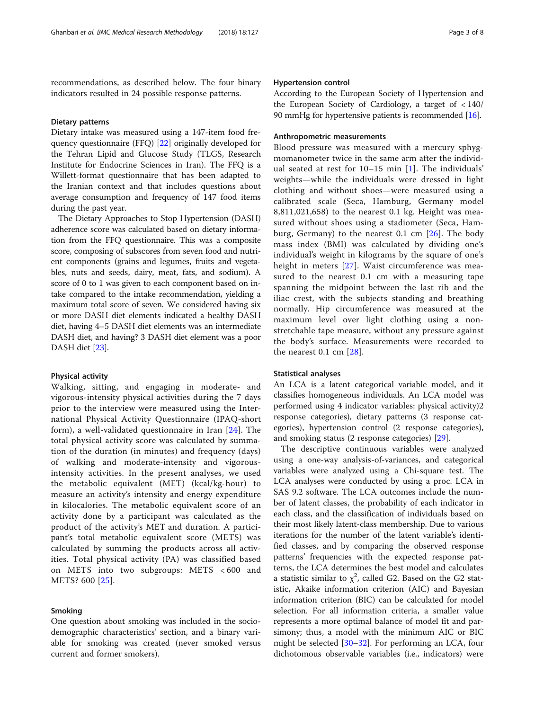recommendations, as described below. The four binary indicators resulted in 24 possible response patterns.

#### Dietary patterns

Dietary intake was measured using a 147-item food frequency questionnaire (FFQ) [[22\]](#page-6-0) originally developed for the Tehran Lipid and Glucose Study (TLGS, Research Institute for Endocrine Sciences in Iran). The FFQ is a Willett-format questionnaire that has been adapted to the Iranian context and that includes questions about average consumption and frequency of 147 food items during the past year.

The Dietary Approaches to Stop Hypertension (DASH) adherence score was calculated based on dietary information from the FFQ questionnaire. This was a composite score, composing of subscores from seven food and nutrient components (grains and legumes, fruits and vegetables, nuts and seeds, dairy, meat, fats, and sodium). A score of 0 to 1 was given to each component based on intake compared to the intake recommendation, yielding a maximum total score of seven. We considered having six or more DASH diet elements indicated a healthy DASH diet, having 4–5 DASH diet elements was an intermediate DASH diet, and having? 3 DASH diet element was a poor DASH diet [\[23\]](#page-7-0).

#### Physical activity

Walking, sitting, and engaging in moderate- and vigorous-intensity physical activities during the 7 days prior to the interview were measured using the International Physical Activity Questionnaire (IPAQ-short form), a well-validated questionnaire in Iran [[24\]](#page-7-0). The total physical activity score was calculated by summation of the duration (in minutes) and frequency (days) of walking and moderate-intensity and vigorousintensity activities. In the present analyses, we used the metabolic equivalent (MET) (kcal/kg-hour) to measure an activity's intensity and energy expenditure in kilocalories. The metabolic equivalent score of an activity done by a participant was calculated as the product of the activity's MET and duration. A participant's total metabolic equivalent score (METS) was calculated by summing the products across all activities. Total physical activity (PA) was classified based on METS into two subgroups: METS < 600 and METS? 600 [[25](#page-7-0)].

## Smoking

One question about smoking was included in the sociodemographic characteristics' section, and a binary variable for smoking was created (never smoked versus current and former smokers).

#### Hypertension control

According to the European Society of Hypertension and the European Society of Cardiology, a target of < 140/ 90 mmHg for hypertensive patients is recommended [\[16\]](#page-6-0).

### Anthropometric measurements

Blood pressure was measured with a mercury sphygmomanometer twice in the same arm after the individual seated at rest for  $10-15$  min [[1\]](#page-6-0). The individuals' weights—while the individuals were dressed in light clothing and without shoes—were measured using a calibrated scale (Seca, Hamburg, Germany model 8,811,021,658) to the nearest 0.1 kg. Height was measured without shoes using a stadiometer (Seca, Hamburg, Germany) to the nearest 0.1 cm  $[26]$  $[26]$  $[26]$ . The body mass index (BMI) was calculated by dividing one's individual's weight in kilograms by the square of one's height in meters [[27](#page-7-0)]. Waist circumference was measured to the nearest 0.1 cm with a measuring tape spanning the midpoint between the last rib and the iliac crest, with the subjects standing and breathing normally. Hip circumference was measured at the maximum level over light clothing using a nonstretchable tape measure, without any pressure against the body's surface. Measurements were recorded to the nearest 0.1 cm [\[28\]](#page-7-0).

#### Statistical analyses

An LCA is a latent categorical variable model, and it classifies homogeneous individuals. An LCA model was performed using 4 indicator variables: physical activity)2 response categories), dietary patterns (3 response categories), hypertension control (2 response categories), and smoking status (2 response categories) [[29](#page-7-0)].

The descriptive continuous variables were analyzed using a one-way analysis-of-variances, and categorical variables were analyzed using a Chi-square test. The LCA analyses were conducted by using a proc. LCA in SAS 9.2 software. The LCA outcomes include the number of latent classes, the probability of each indicator in each class, and the classification of individuals based on their most likely latent-class membership. Due to various iterations for the number of the latent variable's identified classes, and by comparing the observed response patterns' frequencies with the expected response patterns, the LCA determines the best model and calculates a statistic similar to  $\chi^2$ , called G2. Based on the G2 statistic, Akaike information criterion (AIC) and Bayesian information criterion (BIC) can be calculated for model selection. For all information criteria, a smaller value represents a more optimal balance of model fit and parsimony; thus, a model with the minimum AIC or BIC might be selected [\[30](#page-7-0)–[32\]](#page-7-0). For performing an LCA, four dichotomous observable variables (i.e., indicators) were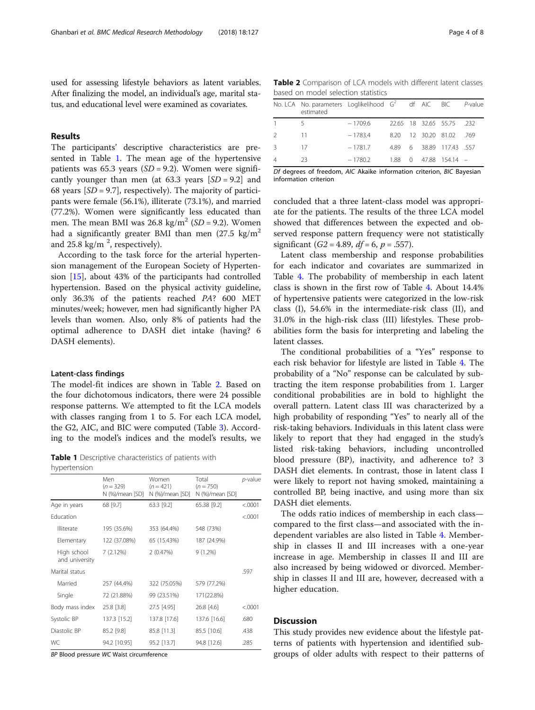used for assessing lifestyle behaviors as latent variables. After finalizing the model, an individual's age, marital status, and educational level were examined as covariates.

## Results

The participants' descriptive characteristics are presented in Table 1. The mean age of the hypertensive patients was 65.3 years ( $SD = 9.2$ ). Women were significantly younger than men (at  $63.3$  years  $[SD = 9.2]$  and 68 years  $[SD = 9.7]$ , respectively). The majority of participants were female (56.1%), illiterate (73.1%), and married (77.2%). Women were significantly less educated than men. The mean BMI was  $26.8 \text{ kg/m}^2$  (*SD* = 9.2). Women had a significantly greater BMI than men  $(27.5 \text{ kg/m}^2)$ and  $25.8$  kg/m<sup>2</sup>, respectively).

According to the task force for the arterial hypertension management of the European Society of Hypertension [[15\]](#page-6-0), about 43% of the participants had controlled hypertension. Based on the physical activity guideline, only 36.3% of the patients reached PA? 600 MET minutes/week; however, men had significantly higher PA levels than women. Also, only 8% of patients had the optimal adherence to DASH diet intake (having? 6 DASH elements).

#### Latent-class findings

The model-fit indices are shown in Table 2. Based on the four dichotomous indicators, there were 24 possible response patterns. We attempted to fit the LCA models with classes ranging from 1 to 5. For each LCA model, the G2, AIC, and BIC were computed (Table [3\)](#page-4-0). According to the model's indices and the model's results, we

Table 1 Descriptive characteristics of patients with hypertension

|                               | Men<br>$(n = 329)$<br>N (%)/mean [SD] | Women<br>$(n = 421)$<br>N (%)/mean [SD] | Total<br>$(n = 750)$<br>N (%)/mean [SD] | <i>p</i> -value |
|-------------------------------|---------------------------------------|-----------------------------------------|-----------------------------------------|-----------------|
| Age in years                  | 68 [9.7]                              | 63.3 [9.2]                              | 65.38 [9.2]                             | < .0001         |
| Education                     |                                       |                                         |                                         | < 0001          |
| <b>Illiterate</b>             | 195 (35.6%)                           | 353 (64.4%)                             | 548 (73%)                               |                 |
| Elementary                    | 122 (37.08%)                          | 65 (15.43%)                             | 187 (24.9%)                             |                 |
| High school<br>and university | 7(2.12%)                              | 2(0.47%)                                | $9(1.2\%)$                              |                 |
| Marital status                |                                       |                                         |                                         | .597            |
| Married                       | 257 (44.4%)                           | 322 (75.05%)                            | 579 (77.2%)                             |                 |
| Single                        | 72 (21.88%)                           | 99 (23.51%)                             | 171(22.8%)                              |                 |
| Body mass index               | 25.8 [3.8]                            | 27.5 [4.95]                             | 26.8 [4.6]                              | < 0001          |
| Systolic BP                   | 137.3 [15.2]                          | 137.8 [17.6]                            | 137.6 [16.6]                            | .680            |
| Diastolic BP                  | 85.2 [9.8]                            | 85.8 [11.3]                             | 85.5 [10.6]                             | .438            |
| WC                            | 94.2 [10.95]                          | 95.2 [13.7]                             | 94.8 [12.6]                             | .285            |

BP Blood pressure WC Waist circumference

Table 2 Comparison of LCA models with different latent classes based on model selection statistics

|   | No. LCA No. parameters Loglikelihood $G^2$ df AIC BIC<br>estimated |           |     |  |                                   | P-value |
|---|--------------------------------------------------------------------|-----------|-----|--|-----------------------------------|---------|
|   | 5                                                                  | $-1709.6$ |     |  | 22.65 18 32.65 55.75 232          |         |
| 2 | 11                                                                 | $-1783.4$ | 820 |  | 12 30.20 81.02 .769               |         |
| Β | 17                                                                 | $-1781.7$ |     |  | 4.89 6 38.89 117.43 557           |         |
| 4 | -23                                                                | $-1780.2$ | 188 |  | $0\quad 47.88\quad 154.14\quad -$ |         |

Df degrees of freedom, AIC Akaike information criterion, BIC Bayesian information criterion

concluded that a three latent-class model was appropriate for the patients. The results of the three LCA model showed that differences between the expected and observed response pattern frequency were not statistically significant ( $G2 = 4.89$ ,  $df = 6$ ,  $p = .557$ ).

Latent class membership and response probabilities for each indicator and covariates are summarized in Table [4](#page-4-0). The probability of membership in each latent class is shown in the first row of Table [4](#page-4-0). About 14.4% of hypertensive patients were categorized in the low-risk class (I), 54.6% in the intermediate-risk class (II), and 31.0% in the high-risk class (III) lifestyles. These probabilities form the basis for interpreting and labeling the latent classes.

The conditional probabilities of a "Yes" response to each risk behavior for lifestyle are listed in Table [4.](#page-4-0) The probability of a "No" response can be calculated by subtracting the item response probabilities from 1. Larger conditional probabilities are in bold to highlight the overall pattern. Latent class III was characterized by a high probability of responding "Yes" to nearly all of the risk-taking behaviors. Individuals in this latent class were likely to report that they had engaged in the study's listed risk-taking behaviors, including uncontrolled blood pressure (BP), inactivity, and adherence to? 3 DASH diet elements. In contrast, those in latent class I were likely to report not having smoked, maintaining a controlled BP, being inactive, and using more than six DASH diet elements.

The odds ratio indices of membership in each class compared to the first class—and associated with the independent variables are also listed in Table [4](#page-4-0). Membership in classes II and III increases with a one-year increase in age. Membership in classes II and III are also increased by being widowed or divorced. Membership in classes II and III are, however, decreased with a higher education.

## **Discussion**

This study provides new evidence about the lifestyle patterns of patients with hypertension and identified subgroups of older adults with respect to their patterns of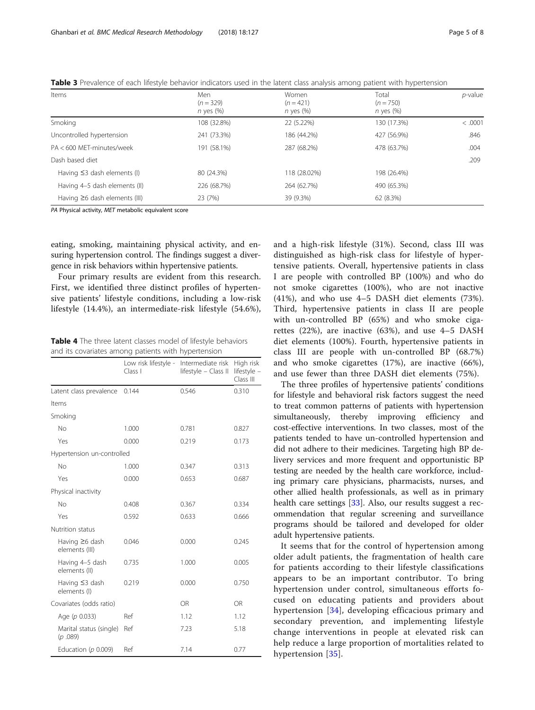<span id="page-4-0"></span>

| Table 3 Prevalence of each lifestyle behavior indicators used in the latent class analysis among patient with hypertension |  |
|----------------------------------------------------------------------------------------------------------------------------|--|
|                                                                                                                            |  |

| Items                               | Men<br>$(n = 329)$ | Women<br>$(n = 421)$ | Total<br>$(n = 750)$ | $p$ -value |
|-------------------------------------|--------------------|----------------------|----------------------|------------|
|                                     | $n$ yes $(\%)$     | $n$ yes $(\%)$       | $n$ yes $(\%)$       |            |
| Smoking                             | 108 (32.8%)        | 22 (5.22%)           | 130 (17.3%)          | < .0001    |
| Uncontrolled hypertension           | 241 (73.3%)        | 186 (44.2%)          | 427 (56.9%)          | .846       |
| PA < 600 MET-minutes/week           | 191 (58.1%)        | 287 (68.2%)          | 478 (63.7%)          | .004       |
| Dash based diet                     |                    |                      |                      | .209       |
| Having $\leq$ 3 dash elements (I)   | 80 (24.3%)         | 118 (28.02%)         | 198 (26.4%)          |            |
| Having 4-5 dash elements (II)       | 226 (68.7%)        | 264 (62.7%)          | 490 (65.3%)          |            |
| Having $\geq 6$ dash elements (III) | 23 (7%)            | 39 (9.3%)            | 62 (8.3%)            |            |

PA Physical activity, MET metabolic equivalent score

eating, smoking, maintaining physical activity, and ensuring hypertension control. The findings suggest a divergence in risk behaviors within hypertensive patients.

Four primary results are evident from this research. First, we identified three distinct profiles of hypertensive patients' lifestyle conditions, including a low-risk lifestyle (14.4%), an intermediate-risk lifestyle (54.6%),

Table 4 The three latent classes model of lifestyle behaviors and its covariates among patients with hypertension

|                                        | Low risk lifestyle - Intermediate risk<br>Class I | lifestyle - Class II | High risk<br>lifestyle -<br>Class III |
|----------------------------------------|---------------------------------------------------|----------------------|---------------------------------------|
| Latent class prevalence                | 0.144                                             | 0.546                | 0.310                                 |
| Items                                  |                                                   |                      |                                       |
| Smoking                                |                                                   |                      |                                       |
| N <sub>o</sub>                         | 1.000                                             | 0.781                | 0.827                                 |
| Yes                                    | 0.000                                             | 0.219                | 0.173                                 |
| Hypertension un-controlled             |                                                   |                      |                                       |
| No                                     | 1.000                                             | 0.347                | 0.313                                 |
| Yes                                    | 0.000                                             | 0.653                | 0.687                                 |
| Physical inactivity                    |                                                   |                      |                                       |
| No                                     | 0.408                                             | 0.367                | 0.334                                 |
| Yes                                    | 0.592                                             | 0.633                | 0.666                                 |
| Nutrition status                       |                                                   |                      |                                       |
| Having $\geq$ 6 dash<br>elements (III) | 0.046                                             | 0.000                | 0.245                                 |
| Having 4-5 dash<br>elements (II)       | 0.735                                             | 1.000                | 0.005                                 |
| Having $\leq$ 3 dash<br>elements (I)   | 0.219                                             | 0.000                | 0.750                                 |
| Covariates (odds ratio)                |                                                   | <b>OR</b>            | <b>OR</b>                             |
| Age (p 0.033)                          | Ref                                               | 1.12                 | 1.12                                  |
| Marital status (single)<br>(p.089)     | Ref                                               | 7.23                 | 5.18                                  |
| Education ( $p$ 0.009)                 | Ref                                               | 7.14                 | 0.77                                  |

and a high-risk lifestyle (31%). Second, class III was distinguished as high-risk class for lifestyle of hypertensive patients. Overall, hypertensive patients in class I are people with controlled BP (100%) and who do not smoke cigarettes (100%), who are not inactive (41%), and who use 4–5 DASH diet elements (73%). Third, hypertensive patients in class II are people with un-controlled BP (65%) and who smoke cigarettes (22%), are inactive (63%), and use 4–5 DASH diet elements (100%). Fourth, hypertensive patients in class III are people with un-controlled BP (68.7%) and who smoke cigarettes (17%), are inactive (66%), and use fewer than three DASH diet elements (75%).

The three profiles of hypertensive patients' conditions for lifestyle and behavioral risk factors suggest the need to treat common patterns of patients with hypertension simultaneously, thereby improving efficiency and cost-effective interventions. In two classes, most of the patients tended to have un-controlled hypertension and did not adhere to their medicines. Targeting high BP delivery services and more frequent and opportunistic BP testing are needed by the health care workforce, including primary care physicians, pharmacists, nurses, and other allied health professionals, as well as in primary health care settings [\[33\]](#page-7-0). Also, our results suggest a recommendation that regular screening and surveillance programs should be tailored and developed for older adult hypertensive patients.

It seems that for the control of hypertension among older adult patients, the fragmentation of health care for patients according to their lifestyle classifications appears to be an important contributor. To bring hypertension under control, simultaneous efforts focused on educating patients and providers about hypertension [\[34](#page-7-0)], developing efficacious primary and secondary prevention, and implementing lifestyle change interventions in people at elevated risk can help reduce a large proportion of mortalities related to hypertension [\[35](#page-7-0)].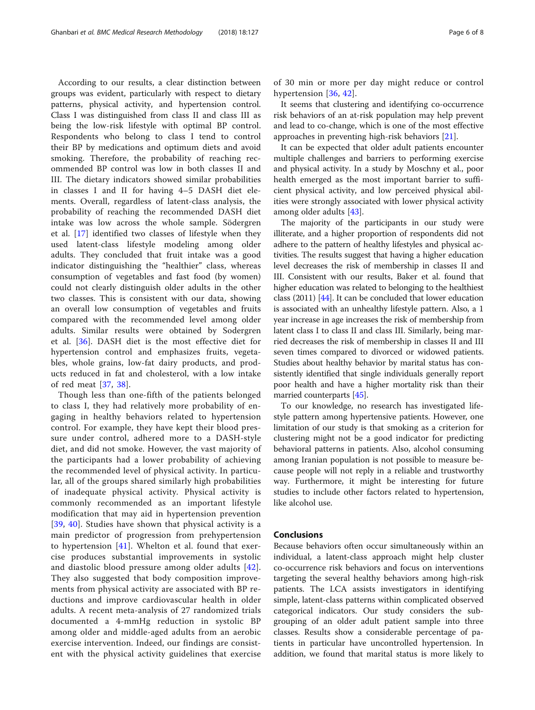According to our results, a clear distinction between groups was evident, particularly with respect to dietary patterns, physical activity, and hypertension control. Class I was distinguished from class II and class III as being the low-risk lifestyle with optimal BP control. Respondents who belong to class I tend to control their BP by medications and optimum diets and avoid smoking. Therefore, the probability of reaching recommended BP control was low in both classes II and III. The dietary indicators showed similar probabilities in classes I and II for having 4–5 DASH diet elements. Overall, regardless of latent-class analysis, the probability of reaching the recommended DASH diet intake was low across the whole sample. Södergren et al. [[17\]](#page-6-0) identified two classes of lifestyle when they used latent-class lifestyle modeling among older adults. They concluded that fruit intake was a good indicator distinguishing the "healthier" class, whereas consumption of vegetables and fast food (by women) could not clearly distinguish older adults in the other two classes. This is consistent with our data, showing an overall low consumption of vegetables and fruits compared with the recommended level among older adults. Similar results were obtained by Sodergren et al. [[36\]](#page-7-0). DASH diet is the most effective diet for hypertension control and emphasizes fruits, vegetables, whole grains, low-fat dairy products, and products reduced in fat and cholesterol, with a low intake of red meat [[37,](#page-7-0) [38](#page-7-0)].

Though less than one-fifth of the patients belonged to class I, they had relatively more probability of engaging in healthy behaviors related to hypertension control. For example, they have kept their blood pressure under control, adhered more to a DASH-style diet, and did not smoke. However, the vast majority of the participants had a lower probability of achieving the recommended level of physical activity. In particular, all of the groups shared similarly high probabilities of inadequate physical activity. Physical activity is commonly recommended as an important lifestyle modification that may aid in hypertension prevention [[39](#page-7-0), [40](#page-7-0)]. Studies have shown that physical activity is a main predictor of progression from prehypertension to hypertension [[41](#page-7-0)]. Whelton et al. found that exercise produces substantial improvements in systolic and diastolic blood pressure among older adults [[42](#page-7-0)]. They also suggested that body composition improvements from physical activity are associated with BP reductions and improve cardiovascular health in older adults. A recent meta-analysis of 27 randomized trials documented a 4-mmHg reduction in systolic BP among older and middle-aged adults from an aerobic exercise intervention. Indeed, our findings are consistent with the physical activity guidelines that exercise

of 30 min or more per day might reduce or control hypertension [\[36](#page-7-0), [42\]](#page-7-0).

It seems that clustering and identifying co-occurrence risk behaviors of an at-risk population may help prevent and lead to co-change, which is one of the most effective approaches in preventing high-risk behaviors [\[21](#page-6-0)].

It can be expected that older adult patients encounter multiple challenges and barriers to performing exercise and physical activity. In a study by Moschny et al., poor health emerged as the most important barrier to sufficient physical activity, and low perceived physical abilities were strongly associated with lower physical activity among older adults [\[43\]](#page-7-0).

The majority of the participants in our study were illiterate, and a higher proportion of respondents did not adhere to the pattern of healthy lifestyles and physical activities. The results suggest that having a higher education level decreases the risk of membership in classes II and III. Consistent with our results, Baker et al. found that higher education was related to belonging to the healthiest class (2011) [\[44\]](#page-7-0). It can be concluded that lower education is associated with an unhealthy lifestyle pattern. Also, a 1 year increase in age increases the risk of membership from latent class I to class II and class III. Similarly, being married decreases the risk of membership in classes II and III seven times compared to divorced or widowed patients. Studies about healthy behavior by marital status has consistently identified that single individuals generally report poor health and have a higher mortality risk than their married counterparts [\[45\]](#page-7-0).

To our knowledge, no research has investigated lifestyle pattern among hypertensive patients. However, one limitation of our study is that smoking as a criterion for clustering might not be a good indicator for predicting behavioral patterns in patients. Also, alcohol consuming among Iranian population is not possible to measure because people will not reply in a reliable and trustworthy way. Furthermore, it might be interesting for future studies to include other factors related to hypertension, like alcohol use.

#### Conclusions

Because behaviors often occur simultaneously within an individual, a latent-class approach might help cluster co-occurrence risk behaviors and focus on interventions targeting the several healthy behaviors among high-risk patients. The LCA assists investigators in identifying simple, latent-class patterns within complicated observed categorical indicators. Our study considers the subgrouping of an older adult patient sample into three classes. Results show a considerable percentage of patients in particular have uncontrolled hypertension. In addition, we found that marital status is more likely to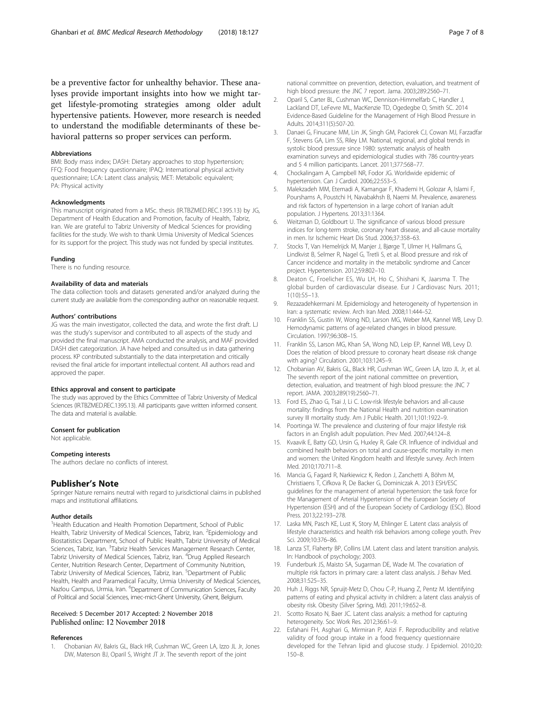<span id="page-6-0"></span>be a preventive factor for unhealthy behavior. These analyses provide important insights into how we might target lifestyle-promoting strategies among older adult hypertensive patients. However, more research is needed to understand the modifiable determinants of these behavioral patterns so proper services can perform.

#### Abbreviations

BMI: Body mass index; DASH: Dietary approaches to stop hypertension; FFQ: Food frequency questionnaire; IPAQ: International physical activity questionnaire; LCA: Latent class analysis; MET: Metabolic equivalent; PA: Physical activity

#### Acknowledgments

This manuscript originated from a MSc. thesis (IR.TBZMED.REC.1395.13) by JG, Department of Health Education and Promotion, faculty of Health, Tabriz, Iran. We are grateful to Tabriz University of Medical Sciences for providing facilities for the study. We wish to thank Urmia University of Medical Sciences for its support for the project. This study was not funded by special institutes.

#### Funding

There is no funding resource.

#### Availability of data and materials

The data collection tools and datasets generated and/or analyzed during the current study are available from the corresponding author on reasonable request.

#### Authors' contributions

JG was the main investigator, collected the data, and wrote the first draft. LJ was the study's supervisor and contributed to all aspects of the study and provided the final manuscript. AMA conducted the analysis, and MAF provided DASH diet categorization. JA have helped and consulted us in data gathering process. KP contributed substantially to the data interpretation and critically revised the final article for important intellectual content. All authors read and approved the paper.

#### Ethics approval and consent to participate

The study was approved by the Ethics Committee of Tabriz University of Medical Sciences (IR.TBZMED.REC.1395.13). All participants gave written informed consent. The data and material is available.

#### Consent for publication

Not applicable.

#### Competing interests

The authors declare no conflicts of interest.

#### Publisher's Note

Springer Nature remains neutral with regard to jurisdictional claims in published maps and institutional affiliations.

#### Author details

<sup>1</sup>Health Education and Health Promotion Department, School of Public Health, Tabriz University of Medical Sciences, Tabriz, Iran. <sup>2</sup>Epidemiology and Biostatistics Department, School of Public Health, Tabriz University of Medical Sciences, Tabriz, Iran. <sup>3</sup>Tabriz Health Services Management Research Center, Tabriz University of Medical Sciences, Tabriz, Iran. <sup>4</sup>Drug Applied Research Center, Nutrition Research Center, Department of Community Nutrition, Tabriz University of Medical Sciences, Tabriz, Iran. <sup>5</sup>Department of Public Health, Health and Paramedical Faculty, Urmia University of Medical Sciences, Nazlou Campus, Urmia, Iran. <sup>6</sup>Department of Communication Sciences, Faculty of Political and Social Sciences, imec-mict-Ghent University, Ghent, Belgium.

#### Received: 5 December 2017 Accepted: 2 November 2018 Published online: 12 November 2018

#### References

1. Chobanian AV, Bakris GL, Black HR, Cushman WC, Green LA, Izzo JL Jr, Jones DW, Materson BJ, Oparil S, Wright JT Jr. The seventh report of the joint

national committee on prevention, detection, evaluation, and treatment of high blood pressure: the JNC 7 report. Jama. 2003;289:2560–71.

- 2. Oparil S, Carter BL, Cushman WC, Dennison-Himmelfarb C, Handler J, Lackland DT, LeFevre ML, MacKenzie TD, Ogedegbe O, Smith SC. 2014 Evidence-Based Guideline for the Management of High Blood Pressure in Adults. 2014;311(5):507-20.
- 3. Danaei G, Finucane MM, Lin JK, Singh GM, Paciorek CJ, Cowan MJ, Farzadfar F, Stevens GA, Lim SS, Riley LM. National, regional, and global trends in systolic blood pressure since 1980: systematic analysis of health examination surveys and epidemiological studies with 786 country-years and 5 4 million participants. Lancet. 2011;377:568–77.
- 4. Chockalingam A, Campbell NR, Fodor JG. Worldwide epidemic of hypertension. Can J Cardiol. 2006;22:553–5.
- 5. Malekzadeh MM, Etemadi A, Kamangar F, Khademi H, Golozar A, Islami F, Pourshams A, Poustchi H, Navabakhsh B, Naemi M. Prevalence, awareness and risk factors of hypertension in a large cohort of Iranian adult population. J Hypertens. 2013;31:1364.
- 6. Weitzman D, Goldbourt U. The significance of various blood pressure indices for long-term stroke, coronary heart disease, and all-cause mortality in men. Isr Ischemic Heart Dis Stud. 2006;37:358–63.
- 7. Stocks T, Van Hemelrijck M, Manjer J, Bjørge T, Ulmer H, Hallmans G, Lindkvist B, Selmer R, Nagel G, Tretli S, et al. Blood pressure and risk of Cancer incidence and mortality in the metabolic syndrome and Cancer project. Hypertension. 2012;59:802–10.
- Deaton C, Froelicher ES, Wu LH, Ho C, Shishani K, Jaarsma T. The global burden of cardiovascular disease. Eur J Cardiovasc Nurs. 2011; 1(10):S5–13.
- 9. Rezazadehkermani M. Epidemiology and heterogeneity of hypertension in Iran: a systematic review. Arch Iran Med. 2008;11:444–52.
- 10. Franklin SS, Gustin W, Wong ND, Larson MG, Weber MA, Kannel WB, Levy D. Hemodynamic patterns of age-related changes in blood pressure. Circulation. 1997;96:308–15.
- 11. Franklin SS, Larson MG, Khan SA, Wong ND, Leip EP, Kannel WB, Levy D. Does the relation of blood pressure to coronary heart disease risk change with aging? Circulation. 2001;103:1245–9.
- 12. Chobanian AV, Bakris GL, Black HR, Cushman WC, Green LA, Izzo JL Jr, et al. The seventh report of the joint national committee on prevention, detection, evaluation, and treatment of high blood pressure: the JNC 7 report. JAMA. 2003;289(19):2560–71.
- 13. Ford ES, Zhao G, Tsai J, Li C. Low-risk lifestyle behaviors and all-cause mortality: findings from the National Health and nutrition examination survey III mortality study. Am J Public Health. 2011;101:1922–9.
- 14. Poortinga W. The prevalence and clustering of four major lifestyle risk factors in an English adult population. Prev Med. 2007;44:124–8.
- 15. Kvaavik E, Batty GD, Ursin G, Huxley R, Gale CR. Influence of individual and combined health behaviors on total and cause-specific mortality in men and women: the United Kingdom health and lifestyle survey. Arch Intern Med. 2010;170:711–8.
- 16. Mancia G, Fagard R, Narkiewicz K, Redon J, Zanchetti A, Böhm M, Christiaens T, Cifkova R, De Backer G, Dominiczak A. 2013 ESH/ESC guidelines for the management of arterial hypertension: the task force for the Management of Arterial Hypertension of the European Society of Hypertension (ESH) and of the European Society of Cardiology (ESC). Blood Press. 2013;22:193–278.
- 17. Laska MN, Pasch KE, Lust K, Story M, Ehlinger E. Latent class analysis of lifestyle characteristics and health risk behaviors among college youth. Prev Sci. 2009;10:376–86.
- 18. Lanza ST, Flaherty BP, Collins LM. Latent class and latent transition analysis. In: Handbook of psychology; 2003.
- 19. Funderburk JS, Maisto SA, Sugarman DE, Wade M. The covariation of multiple risk factors in primary care: a latent class analysis. J Behav Med. 2008;31:525–35.
- 20. Huh J, Riggs NR, Spruijt-Metz D, Chou C-P, Huang Z, Pentz M. Identifying patterns of eating and physical activity in children: a latent class analysis of obesity risk. Obesity (Silver Spring, Md). 2011;19:652–8.
- 21. Scotto Rosato N, Baer JC. Latent class analysis: a method for capturing heterogeneity. Soc Work Res. 2012;36:61–9.
- 22. Esfahani FH, Asghari G, Mirmiran P, Azizi F. Reproducibility and relative validity of food group intake in a food frequency questionnaire developed for the Tehran lipid and glucose study. J Epidemiol. 2010;20: 150–8.